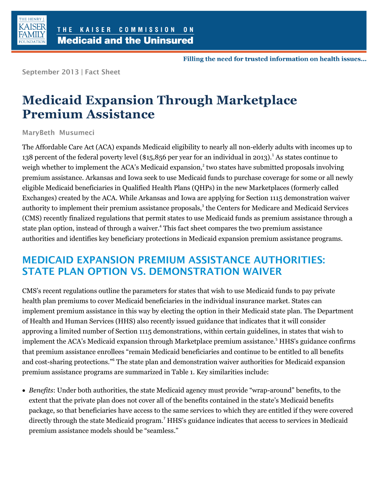

Filling the need for trusted information on health issues...

**September 2013 | Fact Sheet**

## **Medicaid Expansion Through Marketplace Premium Assistance**

**MaryBeth Musumeci**

The Affordable Care Act (ACA) expands Medicaid eligibility to nearly all non-elderly adults with incomes up to 138 percent of the federal poverty level (\$15,856 per year for an individual in 2013).<sup>1</sup> As states continue to weigh whether to implement the ACA's Medicaid expansion,<sup>2</sup> two states have submitted proposals involving premium assistance. Arkansas and Iowa seek to use Medicaid funds to purchase coverage for some or all newly eligible Medicaid beneficiaries in Qualified Health Plans (QHPs) in the new Marketplaces (formerly called Exchanges) created by the ACA. While Arkansas and Iowa are applying for Section 1115 demonstration waiver authority to implement their premium assistance proposals,<sup>3</sup> the Centers for Medicare and Medicaid Services (CMS) recently finalized regulations that permit states to use Medicaid funds as premium assistance through a state plan option, instead of through a waiver.<sup>4</sup> This fact sheet compares the two premium assistance authorities and identifies key beneficiary protections in Medicaid expansion premium assistance programs.

## **MEDICAID EXPANSION PREMIUM ASSISTANCE AUTHORITIES: STATE PLAN OPTION VS. DEMONSTRATION WAIVER**

CMS's recent regulations outline the parameters for states that wish to use Medicaid funds to pay private health plan premiums to cover Medicaid beneficiaries in the individual insurance market. States can implement premium assistance in this way by electing the option in their Medicaid state plan. The Department of Health and Human Services (HHS) also recently issued guidance that indicates that it will consider approving a limited number of Section 1115 demonstrations, within certain guidelines, in states that wish to implement the ACA's Medicaid expansion through Marketplace premium assistance.<sup>5</sup> HHS's guidance confirms that premium assistance enrollees "remain Medicaid beneficiaries and continue to be entitled to all benefits and cost-sharing protections."<sup>6</sup> The state plan and demonstration waiver authorities for Medicaid expansion premium assistance programs are summarized in Table 1. Key similarities include:

 *Benefits*: Under both authorities, the state Medicaid agency must provide "wrap-around" benefits, to the extent that the private plan does not cover all of the benefits contained in the state's Medicaid benefits package, so that beneficiaries have access to the same services to which they are entitled if they were covered directly through the state Medicaid program.<sup>7</sup> HHS's guidance indicates that access to services in Medicaid premium assistance models should be "seamless."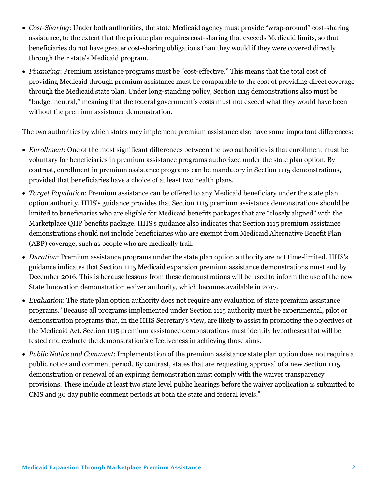- *Cost-Sharing*: Under both authorities, the state Medicaid agency must provide "wrap-around" cost-sharing assistance, to the extent that the private plan requires cost-sharing that exceeds Medicaid limits, so that beneficiaries do not have greater cost-sharing obligations than they would if they were covered directly through their state's Medicaid program.
- *Financing*: Premium assistance programs must be "cost-effective." This means that the total cost of providing Medicaid through premium assistance must be comparable to the cost of providing direct coverage through the Medicaid state plan. Under long-standing policy, Section 1115 demonstrations also must be "budget neutral," meaning that the federal government's costs must not exceed what they would have been without the premium assistance demonstration.

The two authorities by which states may implement premium assistance also have some important differences:

- *Enrollment*: One of the most significant differences between the two authorities is that enrollment must be voluntary for beneficiaries in premium assistance programs authorized under the state plan option. By contrast, enrollment in premium assistance programs can be mandatory in Section 1115 demonstrations, provided that beneficiaries have a choice of at least two health plans.
- *Target Population*: Premium assistance can be offered to any Medicaid beneficiary under the state plan option authority. HHS's guidance provides that Section 1115 premium assistance demonstrations should be limited to beneficiaries who are eligible for Medicaid benefits packages that are "closely aligned" with the Marketplace QHP benefits package. HHS's guidance also indicates that Section 1115 premium assistance demonstrations should not include beneficiaries who are exempt from Medicaid Alternative Benefit Plan (ABP) coverage, such as people who are medically frail.
- *Duration*: Premium assistance programs under the state plan option authority are not time-limited. HHS's guidance indicates that Section 1115 Medicaid expansion premium assistance demonstrations must end by December 2016. This is because lessons from these demonstrations will be used to inform the use of the new State Innovation demonstration waiver authority, which becomes available in 2017.
- *Evaluation*: The state plan option authority does not require any evaluation of state premium assistance programs.<sup>8</sup> Because all programs implemented under Section 1115 authority must be experimental, pilot or demonstration programs that, in the HHS Secretary's view, are likely to assist in promoting the objectives of the Medicaid Act, Section 1115 premium assistance demonstrations must identify hypotheses that will be tested and evaluate the demonstration's effectiveness in achieving those aims.
- *Public Notice and Comment*: Implementation of the premium assistance state plan option does not require a public notice and comment period. By contrast, states that are requesting approval of a new Section 1115 demonstration or renewal of an expiring demonstration must comply with the waiver transparency provisions. These include at least two state level public hearings before the waiver application is submitted to CMS and 30 day public comment periods at both the state and federal levels.<sup>9</sup>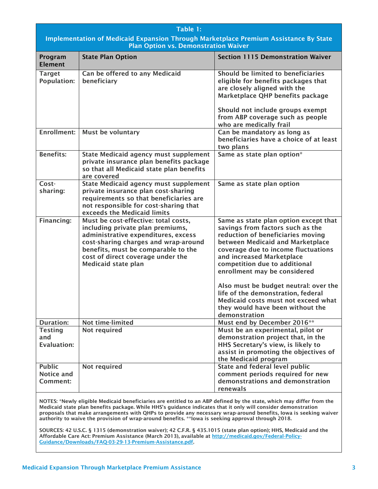| Table 1:<br>Implementation of Medicaid Expansion Through Marketplace Premium Assistance By State<br><b>Plan Option vs. Demonstration Waiver</b>                                                                                       |                                                                                                                                                                                                                                                                   |                                                                                                                                                                                                                                                                                         |
|---------------------------------------------------------------------------------------------------------------------------------------------------------------------------------------------------------------------------------------|-------------------------------------------------------------------------------------------------------------------------------------------------------------------------------------------------------------------------------------------------------------------|-----------------------------------------------------------------------------------------------------------------------------------------------------------------------------------------------------------------------------------------------------------------------------------------|
| Program<br><b>Element</b>                                                                                                                                                                                                             | <b>State Plan Option</b>                                                                                                                                                                                                                                          | <b>Section 1115 Demonstration Waiver</b>                                                                                                                                                                                                                                                |
| <b>Target</b><br><b>Population:</b>                                                                                                                                                                                                   | Can be offered to any Medicaid<br>beneficiary                                                                                                                                                                                                                     | Should be limited to beneficiaries<br>eligible for benefits packages that<br>are closely aligned with the<br>Marketplace QHP benefits package<br>Should not include groups exempt<br>from ABP coverage such as people<br>who are medically frail                                        |
| Enrollment:                                                                                                                                                                                                                           | Must be voluntary                                                                                                                                                                                                                                                 | Can be mandatory as long as<br>beneficiaries have a choice of at least<br>two plans                                                                                                                                                                                                     |
| <b>Benefits:</b>                                                                                                                                                                                                                      | <b>State Medicaid agency must supplement</b><br>private insurance plan benefits package<br>so that all Medicaid state plan benefits<br>are covered                                                                                                                | Same as state plan option*                                                                                                                                                                                                                                                              |
| Cost-<br>sharing:                                                                                                                                                                                                                     | <b>State Medicaid agency must supplement</b><br>private insurance plan cost-sharing<br>requirements so that beneficiaries are<br>not responsible for cost-sharing that<br>exceeds the Medicaid limits                                                             | Same as state plan option                                                                                                                                                                                                                                                               |
| Financing:                                                                                                                                                                                                                            | Must be cost-effective: total costs,<br>including private plan premiums,<br>administrative expenditures, excess<br>cost-sharing charges and wrap-around<br>benefits, must be comparable to the<br>cost of direct coverage under the<br><b>Medicaid state plan</b> | Same as state plan option except that<br>savings from factors such as the<br>reduction of beneficiaries moving<br>between Medicaid and Marketplace<br>coverage due to income fluctuations<br>and increased Marketplace<br>competition due to additional<br>enrollment may be considered |
|                                                                                                                                                                                                                                       |                                                                                                                                                                                                                                                                   | Also must be budget neutral: over the<br>life of the demonstration, federal<br>Medicaid costs must not exceed what<br>they would have been without the<br>demonstration                                                                                                                 |
| <b>Duration:</b>                                                                                                                                                                                                                      | Not time-limited                                                                                                                                                                                                                                                  | Must end by December 2016**                                                                                                                                                                                                                                                             |
| <b>Testing</b><br>and<br>Evaluation:                                                                                                                                                                                                  | Not required                                                                                                                                                                                                                                                      | Must be an experimental, pilot or<br>demonstration project that, in the<br>HHS Secretary's view, is likely to<br>assist in promoting the objectives of<br>the Medicaid program                                                                                                          |
| <b>Public</b><br>Notice and<br>Comment:                                                                                                                                                                                               | Not required                                                                                                                                                                                                                                                      | <b>State and federal level public</b><br>comment periods required for new<br>demonstrations and demonstration<br>renewals                                                                                                                                                               |
| NOTES: *Newly eligible Medicaid beneficiaries are entitled to an ABP defined by the state, which may differ from the<br>Medicaid state plan benefits package. While HHS's quidance indicates that it only will consider demonstration |                                                                                                                                                                                                                                                                   |                                                                                                                                                                                                                                                                                         |

**Medicaid state plan benefits package. While HHS's guidance indicates that it only will consider demonstration proposals that make arrangements with QHPs to provide any necessary wrap-around benefits, Iowa is seeking waiver authority to waive the provision of wrap-around benefits. \*\*Iowa is seeking approval through 2018.**

**SOURCES: 42 U.S.C. § 1315 (demonstration waiver); 42 C.F.R. § 435.1015 (state plan option); HHS, Medicaid and the Affordable Care Act: Premium Assistance (March 2013), available at [http://medicaid.gov/Federal-Policy-](http://medicaid.gov/Federal-Policy-Guidance/Downloads/FAQ-03-29-13-Premium-Assistance.pdf)[Guidance/Downloads/FAQ-03-29-13-Premium-Assistance.pdf.](http://medicaid.gov/Federal-Policy-Guidance/Downloads/FAQ-03-29-13-Premium-Assistance.pdf)**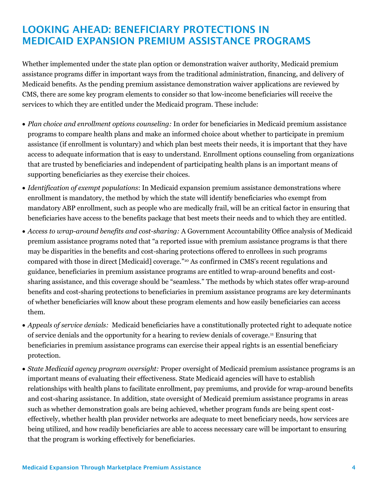## **LOOKING AHEAD: BENEFICIARY PROTECTIONS IN MEDICAID EXPANSION PREMIUM ASSISTANCE PROGRAMS**

Whether implemented under the state plan option or demonstration waiver authority, Medicaid premium assistance programs differ in important ways from the traditional administration, financing, and delivery of Medicaid benefits. As the pending premium assistance demonstration waiver applications are reviewed by CMS, there are some key program elements to consider so that low-income beneficiaries will receive the services to which they are entitled under the Medicaid program. These include:

- *Plan choice and enrollment options counseling:* In order for beneficiaries in Medicaid premium assistance programs to compare health plans and make an informed choice about whether to participate in premium assistance (if enrollment is voluntary) and which plan best meets their needs, it is important that they have access to adequate information that is easy to understand. Enrollment options counseling from organizations that are trusted by beneficiaries and independent of participating health plans is an important means of supporting beneficiaries as they exercise their choices.
- *Identification of exempt populations*: In Medicaid expansion premium assistance demonstrations where enrollment is mandatory, the method by which the state will identify beneficiaries who exempt from mandatory ABP enrollment, such as people who are medically frail, will be an critical factor in ensuring that beneficiaries have access to the benefits package that best meets their needs and to which they are entitled.
- *Access to wrap-around benefits and cost-sharing:* A Government Accountability Office analysis of Medicaid premium assistance programs noted that "a reported issue with premium assistance programs is that there may be disparities in the benefits and cost-sharing protections offered to enrollees in such programs compared with those in direct [Medicaid] coverage."<sup>10</sup> As confirmed in CMS's recent regulations and guidance, beneficiaries in premium assistance programs are entitled to wrap-around benefits and costsharing assistance, and this coverage should be "seamless." The methods by which states offer wrap-around benefits and cost-sharing protections to beneficiaries in premium assistance programs are key determinants of whether beneficiaries will know about these program elements and how easily beneficiaries can access them.
- *Appeals of service denials:* Medicaid beneficiaries have a constitutionally protected right to adequate notice of service denials and the opportunity for a hearing to review denials of coverage.<sup>11</sup> Ensuring that beneficiaries in premium assistance programs can exercise their appeal rights is an essential beneficiary protection.
- *State Medicaid agency program oversight:* Proper oversight of Medicaid premium assistance programs is an important means of evaluating their effectiveness. State Medicaid agencies will have to establish relationships with health plans to facilitate enrollment, pay premiums, and provide for wrap-around benefits and cost-sharing assistance. In addition, state oversight of Medicaid premium assistance programs in areas such as whether demonstration goals are being achieved, whether program funds are being spent costeffectively, whether health plan provider networks are adequate to meet beneficiary needs, how services are being utilized, and how readily beneficiaries are able to access necessary care will be important to ensuring that the program is working effectively for beneficiaries.